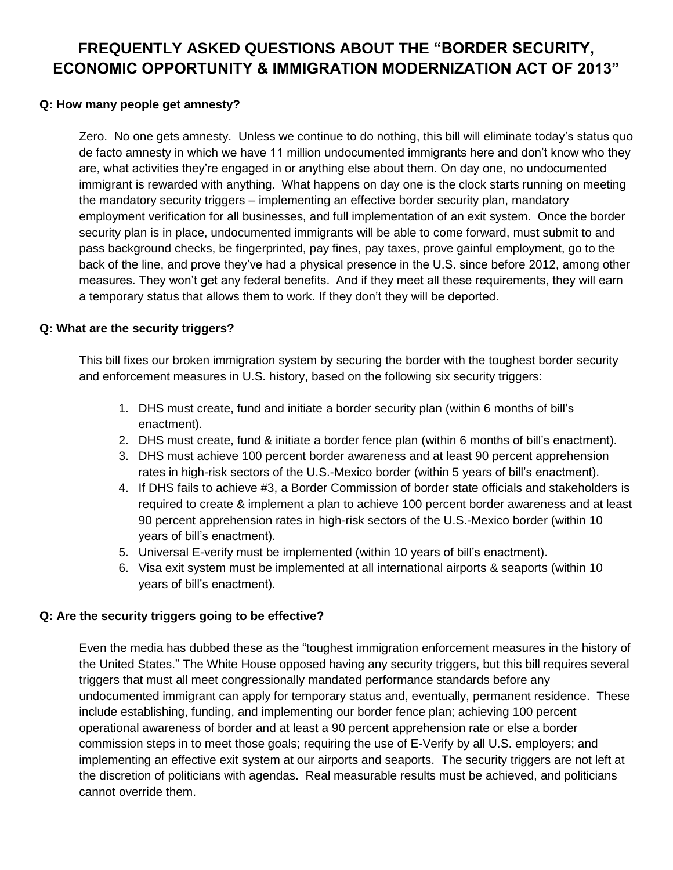# **FREQUENTLY ASKED QUESTIONS ABOUT THE "BORDER SECURITY, ECONOMIC OPPORTUNITY & IMMIGRATION MODERNIZATION ACT OF 2013"**

### **Q: How many people get amnesty?**

Zero. No one gets amnesty. Unless we continue to do nothing, this bill will eliminate today's status quo de facto amnesty in which we have 11 million undocumented immigrants here and don't know who they are, what activities they're engaged in or anything else about them. On day one, no undocumented immigrant is rewarded with anything. What happens on day one is the clock starts running on meeting the mandatory security triggers – implementing an effective border security plan, mandatory employment verification for all businesses, and full implementation of an exit system. Once the border security plan is in place, undocumented immigrants will be able to come forward, must submit to and pass background checks, be fingerprinted, pay fines, pay taxes, prove gainful employment, go to the back of the line, and prove they've had a physical presence in the U.S. since before 2012, among other measures. They won't get any federal benefits. And if they meet all these requirements, they will earn a temporary status that allows them to work. If they don't they will be deported.

## **Q: What are the security triggers?**

This bill fixes our broken immigration system by securing the border with the toughest border security and enforcement measures in U.S. history, based on the following six security triggers:

- 1. DHS must create, fund and initiate a border security plan (within 6 months of bill's enactment).
- 2. DHS must create, fund & initiate a border fence plan (within 6 months of bill's enactment).
- 3. DHS must achieve 100 percent border awareness and at least 90 percent apprehension rates in high-risk sectors of the U.S.-Mexico border (within 5 years of bill's enactment).
- 4. If DHS fails to achieve #3, a Border Commission of border state officials and stakeholders is required to create & implement a plan to achieve 100 percent border awareness and at least 90 percent apprehension rates in high-risk sectors of the U.S.-Mexico border (within 10 years of bill's enactment).
- 5. Universal E-verify must be implemented (within 10 years of bill's enactment).
- 6. Visa exit system must be implemented at all international airports & seaports (within 10 years of bill's enactment).

#### **Q: Are the security triggers going to be effective?**

Even the media has dubbed these as the "toughest immigration enforcement measures in the history of the United States." The White House opposed having any security triggers, but this bill requires several triggers that must all meet congressionally mandated performance standards before any undocumented immigrant can apply for temporary status and, eventually, permanent residence. These include establishing, funding, and implementing our border fence plan; achieving 100 percent operational awareness of border and at least a 90 percent apprehension rate or else a border commission steps in to meet those goals; requiring the use of E-Verify by all U.S. employers; and implementing an effective exit system at our airports and seaports. The security triggers are not left at the discretion of politicians with agendas. Real measurable results must be achieved, and politicians cannot override them.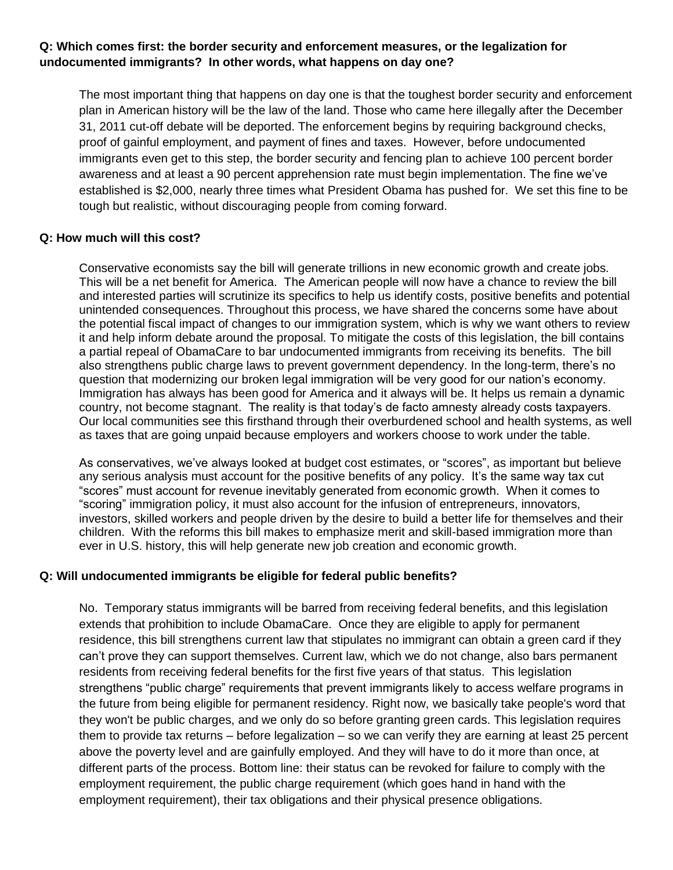## **Q: Which comes first: the border security and enforcement measures, or the legalization for undocumented immigrants? In other words, what happens on day one?**

The most important thing that happens on day one is that the toughest border security and enforcement plan in American history will be the law of the land. Those who came here illegally after the December 31, 2011 cut-off debate will be deported. The enforcement begins by requiring background checks, proof of gainful employment, and payment of fines and taxes. However, before undocumented immigrants even get to this step, the border security and fencing plan to achieve 100 percent border awareness and at least a 90 percent apprehension rate must begin implementation. The fine we've established is \$2,000, nearly three times what President Obama has pushed for. We set this fine to be tough but realistic, without discouraging people from coming forward.

#### **Q: How much will this cost?**

Conservative economists say the bill will generate trillions in new economic growth and create jobs. This will be a net benefit for America. The American people will now have a chance to review the bill and interested parties will scrutinize its specifics to help us identify costs, positive benefits and potential unintended consequences. Throughout this process, we have shared the concerns some have about the potential fiscal impact of changes to our immigration system, which is why we want others to review it and help inform debate around the proposal. To mitigate the costs of this legislation, the bill contains a partial repeal of ObamaCare to bar undocumented immigrants from receiving its benefits. The bill also strengthens public charge laws to prevent government dependency. In the long-term, there's no question that modernizing our broken legal immigration will be very good for our nation's economy. Immigration has always has been good for America and it always will be. It helps us remain a dynamic country, not become stagnant. The reality is that today's de facto amnesty already costs taxpayers. Our local communities see this firsthand through their overburdened school and health systems, as well as taxes that are going unpaid because employers and workers choose to work under the table.

As conservatives, we've always looked at budget cost estimates, or "scores", as important but believe any serious analysis must account for the positive benefits of any policy. It's the same way tax cut "scores" must account for revenue inevitably generated from economic growth. When it comes to "scoring" immigration policy, it must also account for the infusion of entrepreneurs, innovators, investors, skilled workers and people driven by the desire to build a better life for themselves and their children. With the reforms this bill makes to emphasize merit and skill-based immigration more than ever in U.S. history, this will help generate new job creation and economic growth.

## **Q: Will undocumented immigrants be eligible for federal public benefits?**

No. Temporary status immigrants will be barred from receiving federal benefits, and this legislation extends that prohibition to include ObamaCare. Once they are eligible to apply for permanent residence, this bill strengthens current law that stipulates no immigrant can obtain a green card if they can't prove they can support themselves. Current law, which we do not change, also bars permanent residents from receiving federal benefits for the first five years of that status. This legislation strengthens "public charge" requirements that prevent immigrants likely to access welfare programs in the future from being eligible for permanent residency. Right now, we basically take people's word that they won't be public charges, and we only do so before granting green cards. This legislation requires them to provide tax returns – before legalization – so we can verify they are earning at least 25 percent above the poverty level and are gainfully employed. And they will have to do it more than once, at different parts of the process. Bottom line: their status can be revoked for failure to comply with the employment requirement, the public charge requirement (which goes hand in hand with the employment requirement), their tax obligations and their physical presence obligations.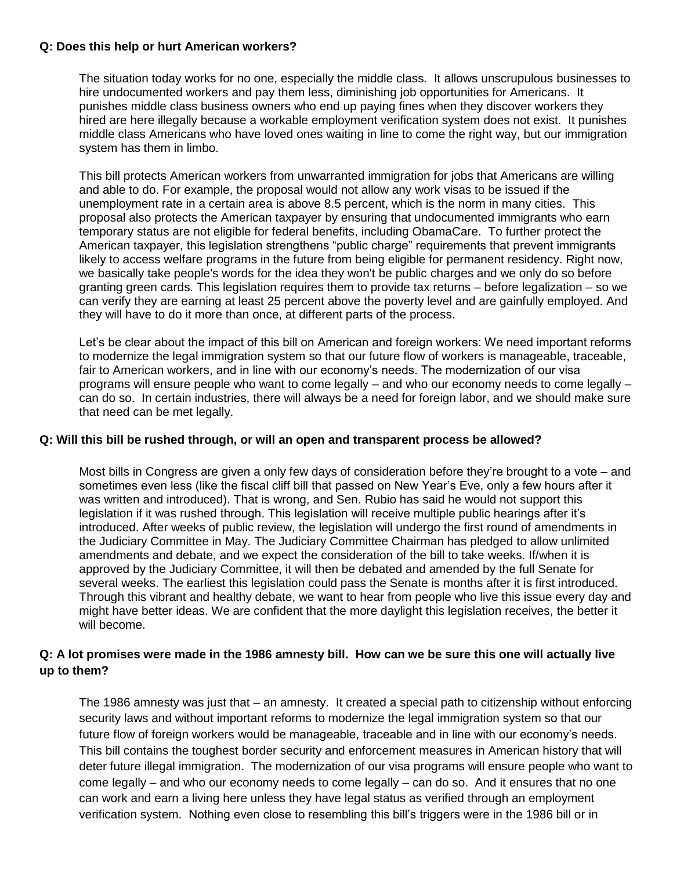#### **Q: Does this help or hurt American workers?**

The situation today works for no one, especially the middle class. It allows unscrupulous businesses to hire undocumented workers and pay them less, diminishing job opportunities for Americans. It punishes middle class business owners who end up paying fines when they discover workers they hired are here illegally because a workable employment verification system does not exist. It punishes middle class Americans who have loved ones waiting in line to come the right way, but our immigration system has them in limbo.

This bill protects American workers from unwarranted immigration for jobs that Americans are willing and able to do. For example, the proposal would not allow any work visas to be issued if the unemployment rate in a certain area is above 8.5 percent, which is the norm in many cities. This proposal also protects the American taxpayer by ensuring that undocumented immigrants who earn temporary status are not eligible for federal benefits, including ObamaCare. To further protect the American taxpayer, this legislation strengthens "public charge" requirements that prevent immigrants likely to access welfare programs in the future from being eligible for permanent residency. Right now, we basically take people's words for the idea they won't be public charges and we only do so before granting green cards. This legislation requires them to provide tax returns – before legalization – so we can verify they are earning at least 25 percent above the poverty level and are gainfully employed. And they will have to do it more than once, at different parts of the process.

Let's be clear about the impact of this bill on American and foreign workers: We need important reforms to modernize the legal immigration system so that our future flow of workers is manageable, traceable, fair to American workers, and in line with our economy's needs. The modernization of our visa programs will ensure people who want to come legally – and who our economy needs to come legally – can do so. In certain industries, there will always be a need for foreign labor, and we should make sure that need can be met legally.

#### **Q: Will this bill be rushed through, or will an open and transparent process be allowed?**

Most bills in Congress are given a only few days of consideration before they're brought to a vote – and sometimes even less (like the fiscal cliff bill that passed on New Year's Eve, only a few hours after it was written and introduced). That is wrong, and Sen. Rubio has said he would not support this legislation if it was rushed through. This legislation will receive multiple public hearings after it's introduced. After weeks of public review, the legislation will undergo the first round of amendments in the Judiciary Committee in May. The Judiciary Committee Chairman has pledged to allow unlimited amendments and debate, and we expect the consideration of the bill to take weeks. If/when it is approved by the Judiciary Committee, it will then be debated and amended by the full Senate for several weeks. The earliest this legislation could pass the Senate is months after it is first introduced. Through this vibrant and healthy debate, we want to hear from people who live this issue every day and might have better ideas. We are confident that the more daylight this legislation receives, the better it will become.

## **Q: A lot promises were made in the 1986 amnesty bill. How can we be sure this one will actually live up to them?**

The 1986 amnesty was just that – an amnesty. It created a special path to citizenship without enforcing security laws and without important reforms to modernize the legal immigration system so that our future flow of foreign workers would be manageable, traceable and in line with our economy's needs. This bill contains the toughest border security and enforcement measures in American history that will deter future illegal immigration. The modernization of our visa programs will ensure people who want to come legally – and who our economy needs to come legally – can do so. And it ensures that no one can work and earn a living here unless they have legal status as verified through an employment verification system. Nothing even close to resembling this bill's triggers were in the 1986 bill or in